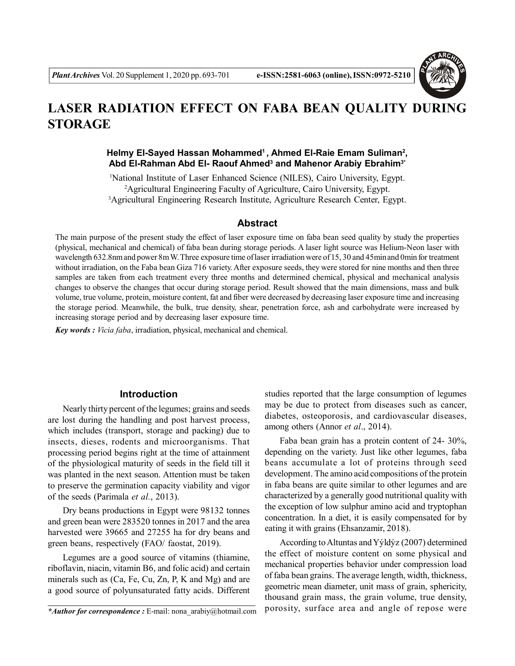

# **LASER RADIATION EFFECT ON FABA BEAN QUALITY DURING STORAGE**

# **Helmy El-Sayed Hassan Mohammed<sup>1</sup>, Ahmed El-Raie Emam Suliman<sup>2</sup> , Abd El-Rahman Abd El- Raouf Ahmed<sup>3</sup> and Mahenor Arabiy Ebrahim3\***

<sup>1</sup>National Institute of Laser Enhanced Science (NILES), Cairo University, Egypt. <sup>2</sup>Agricultural Engineering Faculty of Agriculture, Cairo University, Egypt. <sup>3</sup>Agricultural Engineering Research Institute, Agriculture Research Center, Egypt.

#### **Abstract**

The main purpose of the present study the effect of laser exposure time on faba bean seed quality by study the properties (physical, mechanical and chemical) of faba bean during storage periods. A laser light source was Helium-Neon laser with wavelength 632.8nm and power 8m W. Three exposure time of laser irradiation were of 15, 30 and 45min and 0min for treatment without irradiation, on the Faba bean Giza 716 variety. After exposure seeds, they were stored for nine months and then three samples are taken from each treatment every three months and determined chemical, physical and mechanical analysis changes to observe the changes that occur during storage period. Result showed that the main dimensions, mass and bulk volume, true volume, protein, moisture content, fat and fiber were decreased by decreasing laser exposure time and increasing the storage period. Meanwhile, the bulk, true density, shear, penetration force, ash and carbohydrate were increased by increasing storage period and by decreasing laser exposure time.

*Key words : Vicia faba*, irradiation, physical, mechanical and chemical.

#### **Introduction**

Nearly thirty percent of the legumes; grains and seeds are lost during the handling and post harvest process, which includes (transport, storage and packing) due to insects, dieses, rodents and microorganisms. That processing period begins right at the time of attainment of the physiological maturity of seeds in the field till it was planted in the next season. Attention must be taken to preserve the germination capacity viability and vigor of the seeds (Parimala *et al.*, 2013).

Dry beans productions in Egypt were 98132 tonnes and green bean were 283520 tonnes in 2017 and the area harvested were 39665 and 27255 ha for dry beans and green beans, respectively (FAO/ faostat, 2019).

Legumes are a good source of vitamins (thiamine, riboflavin, niacin, vitamin B6, and folic acid) and certain minerals such as (Ca, Fe, Cu, Zn, P, K and Mg) and are a good source of polyunsaturated fatty acids. Different

*\*Author for correspondence :* E-mail: nona\_arabiy@hotmail.com

studies reported that the large consumption of legumes may be due to protect from diseases such as cancer, diabetes, osteoporosis, and cardiovascular diseases, among others (Annor *et al*., 2014).

Faba bean grain has a protein content of 24- 30%, depending on the variety. Just like other legumes, faba beans accumulate a lot of proteins through seed development. The amino acid compositions of the protein in faba beans are quite similar to other legumes and are characterized by a generally good nutritional quality with the exception of low sulphur amino acid and tryptophan concentration. In a diet, it is easily compensated for by eating it with grains (Ehsanzamir, 2018).

According to Altuntas and Yýldýz (2007) determined the effect of moisture content on some physical and mechanical properties behavior under compression load of faba bean grains. The average length, width, thickness, geometric mean diameter, unit mass of grain, sphericity, thousand grain mass, the grain volume, true density, porosity, surface area and angle of repose were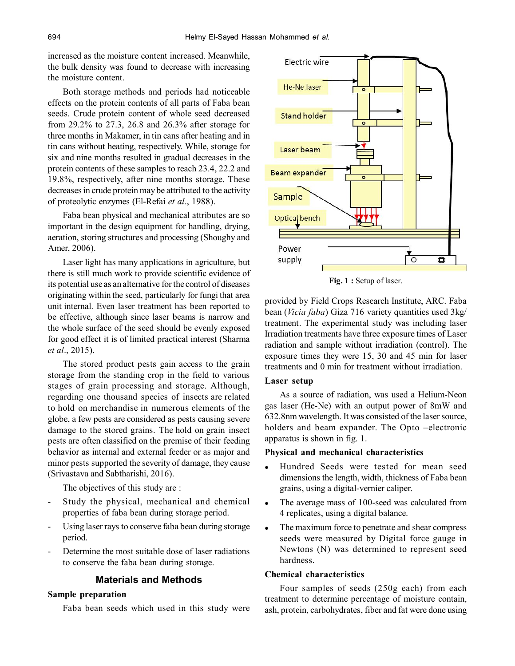increased as the moisture content increased. Meanwhile, the bulk density was found to decrease with increasing the moisture content.

Both storage methods and periods had noticeable effects on the protein contents of all parts of Faba bean seeds. Crude protein content of whole seed decreased from 29.2% to 27.3, 26.8 and 26.3% after storage for three months in Makamer, in tin cans after heating and in tin cans without heating, respectively. While, storage for six and nine months resulted in gradual decreases in the protein contents of these samples to reach 23.4, 22.2 and 19.8%, respectively, after nine months storage. These decreases in crude protein may be attributed to the activity of proteolytic enzymes (El-Refai *et al*., 1988).

Faba bean physical and mechanical attributes are so important in the design equipment for handling, drying, aeration, storing structures and processing (Shoughy and Amer, 2006).

Laser light has many applications in agriculture, but there is still much work to provide scientific evidence of its potential use as an alternative for the control of diseases originating within the seed, particularly for fungi that area unit internal. Even laser treatment has been reported to be effective, although since laser beams is narrow and the whole surface of the seed should be evenly exposed for good effect it is of limited practical interest (Sharma *et al*., 2015).

The stored product pests gain access to the grain storage from the standing crop in the field to various stages of grain processing and storage. Although, regarding one thousand species of insects are related to hold on merchandise in numerous elements of the globe, a few pests are considered as pests causing severe damage to the stored grains. The hold on grain insect pests are often classified on the premise of their feeding behavior as internal and external feeder or as major and minor pests supported the severity of damage, they cause (Srivastava and Sabtharishi, 2016).

The objectives of this study are :

- Study the physical, mechanical and chemical properties of faba bean during storage period.
- Using laser rays to conserve faba bean during storage period.
- Determine the most suitable dose of laser radiations to conserve the faba bean during storage.

# **Materials and Methods**

# **Sample preparation**

Faba bean seeds which used in this study were



**Fig. 1 :** Setup of laser.

provided by Field Crops Research Institute, ARC. Faba bean (*Vicia faba*) Giza 716 variety quantities used 3kg/ treatment. The experimental study was including laser Irradiation treatments have three exposure times of Laser radiation and sample without irradiation (control). The exposure times they were 15, 30 and 45 min for laser treatments and 0 min for treatment without irradiation.

#### **Laser setup**

As a source of radiation, was used a Helium-Neon gas laser (He-Ne) with an output power of 8mW and 632.8nm wavelength. It was consisted of the laser source, holders and beam expander. The Opto –electronic apparatus is shown in fig. 1.

#### **Physical and mechanical characteristics**

- Hundred Seeds were tested for mean seed dimensions the length, width, thickness of Faba bean grains, using a digital-vernier caliper.
- The average mass of 100-seed was calculated from 4 replicates, using a digital balance.
- The maximum force to penetrate and shear compress seeds were measured by Digital force gauge in Newtons (N) was determined to represent seed hardness.

# **Chemical characteristics**

Four samples of seeds (250g each) from each treatment to determine percentage of moisture contain, ash, protein, carbohydrates, fiber and fat were done using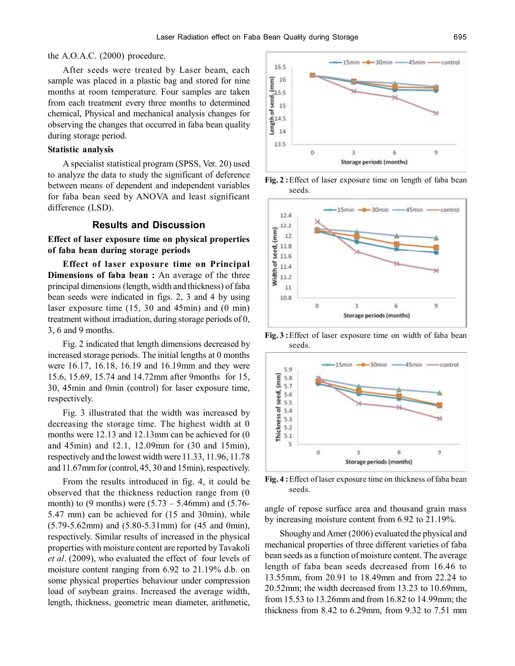#### the A.O.A.C. (2000) procedure.

After seeds were treated by Laser beam, each sample was placed in a plastic bag and stored for nine months at room temperature. Four samples are taken from each treatment every three months to determined chemical, Physical and mechanical analysis changes for observing the changes that occurred in faba bean quality during storage period.

#### **Statistic analysis**

A specialist statistical program (SPSS, Ver. 20) used to analyze the data to study the significant of deference between means of dependent and independent variables for faba bean seed by ANOVA and least significant difference (LSD).

### **Results and Discussion**

# **Effect of laser exposure time on physical properties of faba bean during storage periods**

**Effect of laser exposure time on Principal Dimensions of faba bean :** An average of the three principal dimensions (length, width and thickness) of faba bean seeds were indicated in figs. 2, 3 and 4 by using laser exposure time (15, 30 and 45min) and (0 min) treatment without irradiation, during storage periods of 0, 3, 6 and 9 months.

Fig. 2 indicated that length dimensions decreased by increased storage periods. The initial lengths at 0 months were 16.17, 16.18, 16.19 and 16.19mm and they were 15.6, 15.69, 15.74 and 14.72mm after 9months for 15, 30, 45min and 0min (control) for laser exposure time, respectively.

Fig. 3 illustrated that the width was increased by decreasing the storage time. The highest width at 0 months were 12.13 and 12.13mm can be achieved for (0 and 45min) and 12.1, 12.09mm for (30 and 15min), respectively and the lowest width were 11.33, 11.96, 11.78 and 11.67mm for (control, 45, 30 and 15min), respectively.

From the results introduced in fig. 4, it could be observed that the thickness reduction range from (0 month) to (9 months) were  $(5.73 - 5.46$ mm) and  $(5.76 - 1.76)$ 5.47 mm) can be achieved for (15 and 30min), while (5.79-5.62mm) and (5.80-5.31mm) for (45 and 0min), respectively. Similar results of increased in the physical properties with moisture content are reported by Tavakoli *et al*. (2009), who evaluated the effect of four levels of moisture content ranging from 6.92 to 21.19% d.b. on some physical properties behaviour under compression load of soybean grains. Increased the average width, length, thickness, geometric mean diameter, arithmetic,



**Fig. 2 :**Effect of laser exposure time on length of faba bean seeds.



**Fig. 3 :**Effect of laser exposure time on width of faba bean seeds.



**Fig. 4 :**Effect of laser exposure time on thickness of faba bean seeds.

angle of repose surface area and thousand grain mass by increasing moisture content from 6.92 to 21.19%.

Shoughy and Amer (2006) evaluated the physical and mechanical properties of three different varieties of faba bean seeds as a function of moisture content. The average length of faba bean seeds decreased from 16.46 to 13.55mm, from 20.91 to 18.49mm and from 22.24 to 20.52mm; the width decreased from 13.23 to 10.69mm, from 15.53 to 13.26mm and from 16.82 to 14.99mm; the thickness from 8.42 to 6.29mm, from 9.32 to 7.51 mm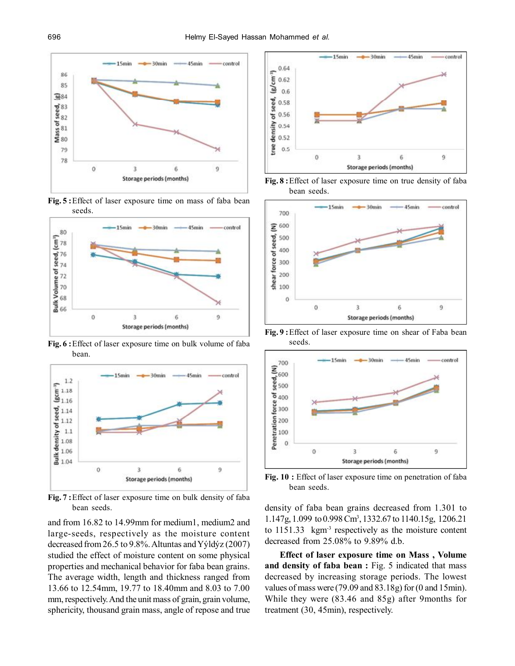

**Fig. 5 :**Effect of laser exposure time on mass of faba bean seeds.



**Fig. 6 :**Effect of laser exposure time on bulk volume of faba bean.



**Fig. 7 :**Effect of laser exposure time on bulk density of faba bean seeds.

and from 16.82 to 14.99mm for medium1, medium2 and large-seeds, respectively as the moisture content decreased from 26.5 to 9.8%. Altuntas and Yýldýz (2007) studied the effect of moisture content on some physical properties and mechanical behavior for faba bean grains. The average width, length and thickness ranged from 13.66 to 12.54mm, 19.77 to 18.40mm and 8.03 to 7.00 mm, respectively. And the unit mass of grain, grain volume, sphericity, thousand grain mass, angle of repose and true



**Fig. 8 :**Effect of laser exposure time on true density of faba bean seeds.



**Fig. 9 :**Effect of laser exposure time on shear of Faba bean seeds.



**Fig. 10 :** Effect of laser exposure time on penetration of faba bean seeds.

density of faba bean grains decreased from 1.301 to 1.147g, 1.099 to 0.998 Cm<sup>3</sup> , 1332.67 to 1140.15g, 1206.21 to 1151.33 kgm-3 respectively as the moisture content decreased from 25.08% to 9.89% d.b.

**Effect of laser exposure time on Mass , Volume and density of faba bean :** Fig. 5 indicated that mass decreased by increasing storage periods. The lowest values of mass were (79.09 and 83.18g) for (0 and 15min). While they were (83.46 and 85g) after 9months for treatment (30, 45min), respectively.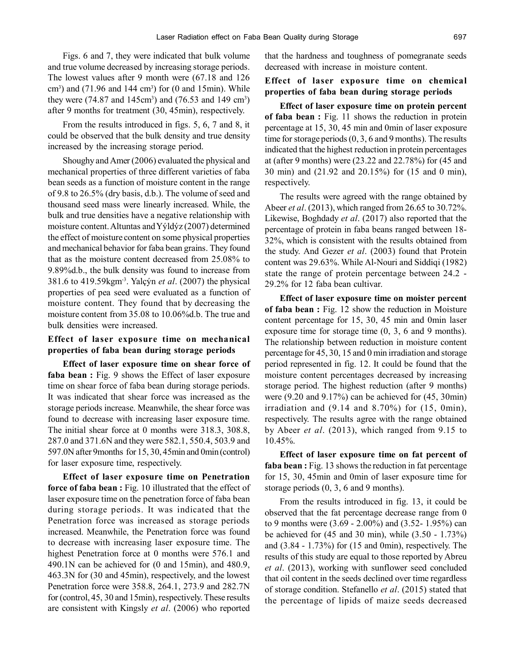Figs. 6 and 7, they were indicated that bulk volume and true volume decreased by increasing storage periods. The lowest values after 9 month were (67.18 and 126  $\text{cm}^3$ ) and (71.96 and 144  $\text{cm}^3$ ) for (0 and 15 $\text{min}$ ). While they were  $(74.87 \text{ and } 145 \text{ cm}^3)$  and  $(76.53 \text{ and } 149 \text{ cm}^3)$ after 9 months for treatment (30, 45min), respectively.

From the results introduced in figs. 5, 6, 7 and 8, it could be observed that the bulk density and true density increased by the increasing storage period.

Shoughy and Amer (2006) evaluated the physical and mechanical properties of three different varieties of faba bean seeds as a function of moisture content in the range of 9.8 to 26.5% (dry basis, d.b.). The volume of seed and thousand seed mass were linearly increased. While, the bulk and true densities have a negative relationship with moisture content. Altuntas and Yýldýz (2007) determined the effect of moisture content on some physical properties and mechanical behavior for faba bean grains. They found that as the moisture content decreased from 25.08% to 9.89%d.b., the bulk density was found to increase from 381.6 to 419.59kgm-3. Yalçýn *et al*. (2007) the physical properties of pea seed were evaluated as a function of moisture content. They found that by decreasing the moisture content from 35.08 to 10.06%d.b. The true and bulk densities were increased.

# **Effect of laser exposure time on mechanical properties of faba bean during storage periods**

**Effect of laser exposure time on shear force of** faba bean : Fig. 9 shows the Effect of laser exposure time on shear force of faba bean during storage periods. It was indicated that shear force was increased as the storage periods increase. Meanwhile, the shear force was found to decrease with increasing laser exposure time. The initial shear force at 0 months were 318.3, 308.8, 287.0 and 371.6N and they were 582.1, 550.4, 503.9 and 597.0N after 9months for 15, 30, 45min and 0min (control) for laser exposure time, respectively.

**Effect of laser exposure time on Penetration force of faba bean :** Fig. 10 illustrated that the effect of laser exposure time on the penetration force of faba bean during storage periods. It was indicated that the Penetration force was increased as storage periods increased. Meanwhile, the Penetration force was found to decrease with increasing laser exposure time. The highest Penetration force at 0 months were 576.1 and 490.1N can be achieved for (0 and 15min), and 480.9, 463.3N for (30 and 45min), respectively, and the lowest Penetration force were 358.8, 264.1, 273.9 and 282.7N for (control, 45, 30 and 15min), respectively. These results are consistent with Kingsly *et al*. (2006) who reported

that the hardness and toughness of pomegranate seeds decreased with increase in moisture content.

# **Effect of laser exposure time on chemical properties of faba bean during storage periods**

**Effect of laser exposure time on protein percent of faba bean :** Fig. 11 shows the reduction in protein percentage at 15, 30, 45 min and 0min of laser exposure time for storage periods (0, 3, 6 and 9 months). The results indicated that the highest reduction in protein percentages at (after 9 months) were (23.22 and 22.78%) for (45 and 30 min) and (21.92 and 20.15%) for (15 and 0 min), respectively.

The results were agreed with the range obtained by Abeer *et al*. (2013), which ranged from 26.65 to 30.72%. Likewise, Boghdady *et al*. (2017) also reported that the percentage of protein in faba beans ranged between 18- 32%, which is consistent with the results obtained from the study. And Gezer *et al*. (2003) found that Protein content was 29.63%. While Al-Nouri and Siddiqi (1982) state the range of protein percentage between 24.2 - 29.2% for 12 faba bean cultivar.

**Effect of laser exposure time on moister percent of faba bean :** Fig. 12 show the reduction in Moisture content percentage for 15, 30, 45 min and 0min laser exposure time for storage time (0, 3, 6 and 9 months). The relationship between reduction in moisture content percentage for 45, 30, 15 and 0 min irradiation and storage period represented in fig. 12. It could be found that the moisture content percentages decreased by increasing storage period. The highest reduction (after 9 months) were (9.20 and 9.17%) can be achieved for (45, 30min) irradiation and  $(9.14$  and  $8.70\%)$  for  $(15, 0min)$ , respectively. The results agree with the range obtained by Abeer *et al*. (2013), which ranged from 9.15 to 10.45%.

**Effect of laser exposure time on fat percent of** faba bean : Fig. 13 shows the reduction in fat percentage for 15, 30, 45min and 0min of laser exposure time for storage periods (0, 3, 6 and 9 months).

From the results introduced in fig. 13, it could be observed that the fat percentage decrease range from 0 to 9 months were (3.69 - 2.00%) and (3.52- 1.95%) can be achieved for (45 and 30 min), while (3.50 - 1.73%) and (3.84 - 1.73%) for (15 and 0min), respectively. The results of this study are equal to those reported by Abreu *et al*. (2013), working with sunflower seed concluded that oil content in the seeds declined over time regardless of storage condition. Stefanello *et al*. (2015) stated that the percentage of lipids of maize seeds decreased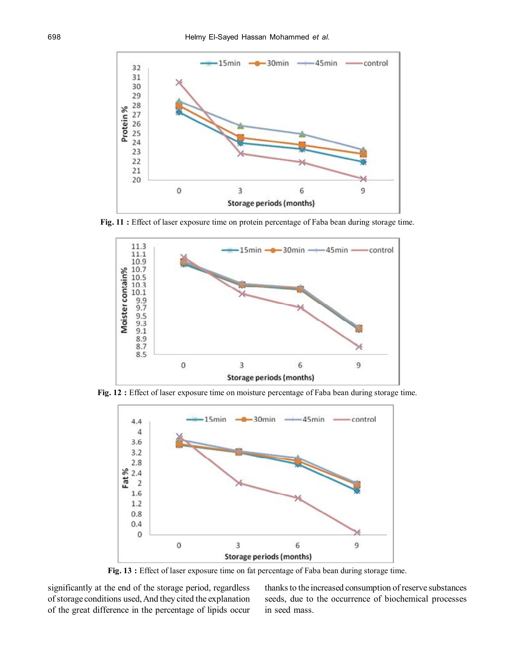

**Fig. 11 :** Effect of laser exposure time on protein percentage of Faba bean during storage time.



**Fig. 12 :** Effect of laser exposure time on moisture percentage of Faba bean during storage time.



**Fig. 13 :** Effect of laser exposure time on fat percentage of Faba bean during storage time.

significantly at the end of the storage period, regardless of storage conditions used, And they cited the explanation of the great difference in the percentage of lipids occur thanks to the increased consumption of reserve substances seeds, due to the occurrence of biochemical processes in seed mass.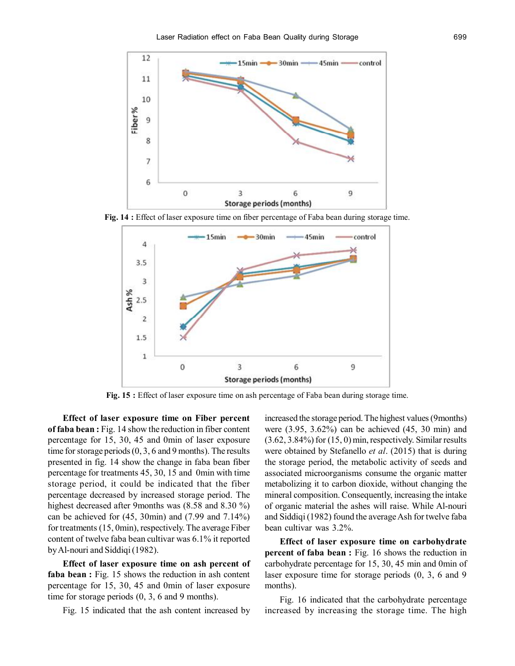

**Fig. 14 :** Effect of laser exposure time on fiber percentage of Faba bean during storage time.



**Fig. 15 :** Effect of laser exposure time on ash percentage of Faba bean during storage time.

**Effect of laser exposure time on Fiber percent of faba bean :** Fig. 14 show the reduction in fiber content percentage for 15, 30, 45 and 0min of laser exposure time for storage periods (0, 3, 6 and 9 months). The results presented in fig. 14 show the change in faba bean fiber percentage for treatments 45, 30, 15 and 0min with time storage period, it could be indicated that the fiber percentage decreased by increased storage period. The highest decreased after 9months was (8.58 and 8.30 %) can be achieved for (45, 30min) and (7.99 and 7.14%) for treatments (15, 0min), respectively. The average Fiber content of twelve faba bean cultivar was 6.1% it reported by Al-nouri and Siddiqi (1982).

**Effect of laser exposure time on ash percent of** faba bean : Fig. 15 shows the reduction in ash content percentage for 15, 30, 45 and 0min of laser exposure time for storage periods (0, 3, 6 and 9 months).

Fig. 15 indicated that the ash content increased by

increased the storage period. The highest values (9months) were (3.95, 3.62%) can be achieved (45, 30 min) and (3.62, 3.84%) for (15, 0) min, respectively. Similar results were obtained by Stefanello *et al*. (2015) that is during the storage period, the metabolic activity of seeds and associated microorganisms consume the organic matter metabolizing it to carbon dioxide, without changing the mineral composition. Consequently, increasing the intake of organic material the ashes will raise. While Al-nouri and Siddiqi (1982) found the average Ash for twelve faba bean cultivar was 3.2%.

**Effect of laser exposure time on carbohydrate percent of faba bean :** Fig. 16 shows the reduction in carbohydrate percentage for 15, 30, 45 min and 0min of laser exposure time for storage periods (0, 3, 6 and 9 months).

Fig. 16 indicated that the carbohydrate percentage increased by increasing the storage time. The high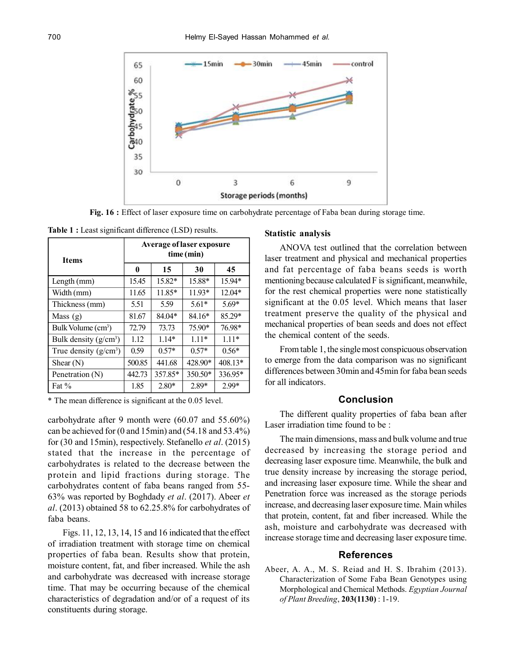

**Fig. 16 :** Effect of laser exposure time on carbohydrate percentage of Faba bean during storage time.

| Table 1 : Least significant difference (LSD) results. |  |  |
|-------------------------------------------------------|--|--|
|-------------------------------------------------------|--|--|

| <b>Items</b>                   | <b>Average of laser exposure</b><br>time (min) |         |          |           |
|--------------------------------|------------------------------------------------|---------|----------|-----------|
|                                | 0                                              | 15      | 30       | 45        |
| Length (mm)                    | 15.45                                          | 15.82*  | 15.88*   | 15.94*    |
| Width (mm)                     | 11.65                                          | 11.85*  | $11.93*$ | $12.04*$  |
| Thickness (mm)                 | 5.51                                           | 5.59    | $5.61*$  | $5.69*$   |
| Mass $(g)$                     | 81.67                                          | 84.04*  | 84.16*   | 85.29*    |
| Bulk Volume (cm <sup>3</sup> ) | 72.79                                          | 73.73   | 75.90*   | 76.98*    |
| Bulk density $(g/cm^3)$        | 1.12                                           | $1.14*$ | $1.11*$  | $1.11*$   |
| True density $(g/cm^3)$        | 0.59                                           | $0.57*$ | $0.57*$  | $0.56*$   |
| Shear $(N)$                    | 500.85                                         | 441.68  | 428.90*  | $408.13*$ |
| Penetration (N)                | 442.73                                         | 357.85* | 350.50*  | 336.95*   |
| Fat $%$                        | 1.85                                           | $2.80*$ | $2.89*$  | 2.99*     |

\* The mean difference is significant at the 0.05 level.

carbohydrate after 9 month were (60.07 and 55.60%) can be achieved for (0 and 15min) and (54.18 and 53.4%) for (30 and 15min), respectively. Stefanello *et al*. (2015) stated that the increase in the percentage of carbohydrates is related to the decrease between the protein and lipid fractions during storage. The carbohydrates content of faba beans ranged from 55- 63% was reported by Boghdady *et al*. (2017). Abeer *et al*. (2013) obtained 58 to 62.25.8% for carbohydrates of faba beans.

Figs. 11, 12, 13, 14, 15 and 16 indicated that the effect of irradiation treatment with storage time on chemical properties of faba bean. Results show that protein, moisture content, fat, and fiber increased. While the ash and carbohydrate was decreased with increase storage time. That may be occurring because of the chemical characteristics of degradation and/or of a request of its constituents during storage.

#### **Statistic analysis**

ANOVA test outlined that the correlation between laser treatment and physical and mechanical properties and fat percentage of faba beans seeds is worth mentioning because calculated F is significant, meanwhile, for the rest chemical properties were none statistically significant at the 0.05 level. Which means that laser treatment preserve the quality of the physical and mechanical properties of bean seeds and does not effect the chemical content of the seeds.

From table 1, the single most conspicuous observation to emerge from the data comparison was no significant differences between 30min and 45min for faba bean seeds for all indicators.

### **Conclusion**

The different quality properties of faba bean after Laser irradiation time found to be  $\cdot$ 

The main dimensions, mass and bulk volume and true decreased by increasing the storage period and decreasing laser exposure time. Meanwhile, the bulk and true density increase by increasing the storage period, and increasing laser exposure time. While the shear and Penetration force was increased as the storage periods increase, and decreasing laser exposure time. Main whiles that protein, content, fat and fiber increased. While the ash, moisture and carbohydrate was decreased with increase storage time and decreasing laser exposure time.

# **References**

Abeer, A. A., M. S. Reiad and H. S. Ibrahim (2013). Characterization of Some Faba Bean Genotypes using Morphological and Chemical Methods. *Egyptian Journal of Plant Breeding*, **203(1130)** : 1-19.